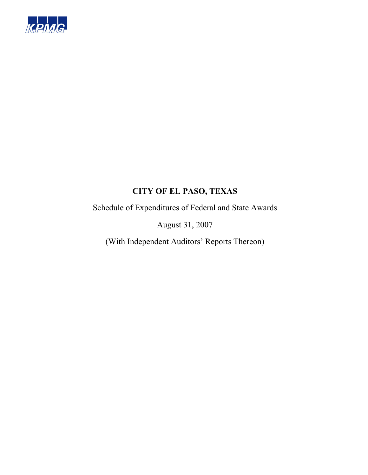

Schedule of Expenditures of Federal and State Awards

August 31, 2007

(With Independent Auditors' Reports Thereon)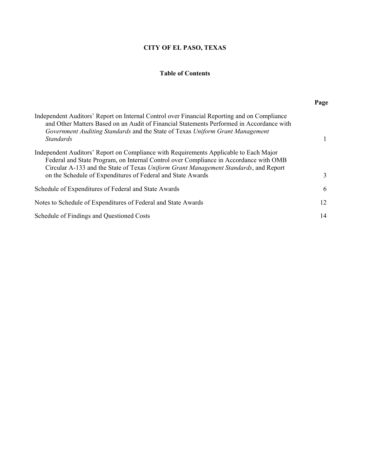## **Table of Contents**

|                                                                                                                                                                                                                                                                                                                                       | Page |
|---------------------------------------------------------------------------------------------------------------------------------------------------------------------------------------------------------------------------------------------------------------------------------------------------------------------------------------|------|
| Independent Auditors' Report on Internal Control over Financial Reporting and on Compliance<br>and Other Matters Based on an Audit of Financial Statements Performed in Accordance with<br>Government Auditing Standards and the State of Texas Uniform Grant Management<br><b>Standards</b>                                          |      |
| Independent Auditors' Report on Compliance with Requirements Applicable to Each Major<br>Federal and State Program, on Internal Control over Compliance in Accordance with OMB<br>Circular A-133 and the State of Texas Uniform Grant Management Standards, and Report<br>on the Schedule of Expenditures of Federal and State Awards | 3    |
| Schedule of Expenditures of Federal and State Awards                                                                                                                                                                                                                                                                                  | 6    |
| Notes to Schedule of Expenditures of Federal and State Awards                                                                                                                                                                                                                                                                         | 12   |
| Schedule of Findings and Questioned Costs                                                                                                                                                                                                                                                                                             | 14   |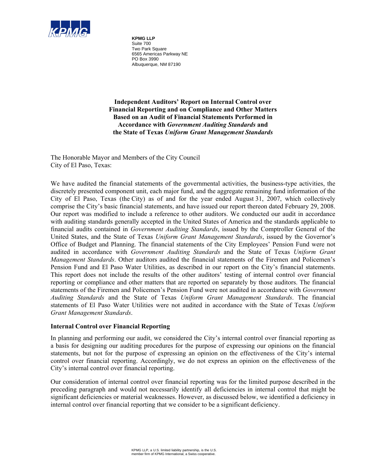

**KPMG LLP** Suite 700 Two Park Square 6565 Americas Parkway NE PO Box 3990 Albuquerque, NM 87190

**Independent Auditors' Report on Internal Control over Financial Reporting and on Compliance and Other Matters Based on an Audit of Financial Statements Performed in Accordance with** *Government Auditing Standards* **and the State of Texas** *Uniform Grant Management Standards*

The Honorable Mayor and Members of the City Council City of El Paso, Texas:

We have audited the financial statements of the governmental activities, the business-type activities, the discretely presented component unit, each major fund, and the aggregate remaining fund information of the City of El Paso, Texas (the City) as of and for the year ended August 31, 2007, which collectively comprise the City's basic financial statements, and have issued our report thereon dated February 29, 2008. Our report was modified to include a reference to other auditors. We conducted our audit in accordance with auditing standards generally accepted in the United States of America and the standards applicable to financial audits contained in *Government Auditing Standards*, issued by the Comptroller General of the United States, and the State of Texas *Uniform Grant Management Standards*, issued by the Governor's Office of Budget and Planning. The financial statements of the City Employees' Pension Fund were not audited in accordance with *Government Auditing Standards* and the State of Texas *Uniform Grant Management Standards*. Other auditors audited the financial statements of the Firemen and Policemen's Pension Fund and El Paso Water Utilities, as described in our report on the City's financial statements. This report does not include the results of the other auditors' testing of internal control over financial reporting or compliance and other matters that are reported on separately by those auditors. The financial statements of the Firemen and Policemen's Pension Fund were not audited in accordance with *Government Auditing Standards* and the State of Texas *Uniform Grant Management Standards*. The financial statements of El Paso Water Utilities were not audited in accordance with the State of Texas *Uniform Grant Management Standards*.

#### **Internal Control over Financial Reporting**

In planning and performing our audit, we considered the City's internal control over financial reporting as a basis for designing our auditing procedures for the purpose of expressing our opinions on the financial statements, but not for the purpose of expressing an opinion on the effectiveness of the City's internal control over financial reporting. Accordingly, we do not express an opinion on the effectiveness of the City's internal control over financial reporting.

Our consideration of internal control over financial reporting was for the limited purpose described in the preceding paragraph and would not necessarily identify all deficiencies in internal control that might be significant deficiencies or material weaknesses. However, as discussed below, we identified a deficiency in internal control over financial reporting that we consider to be a significant deficiency.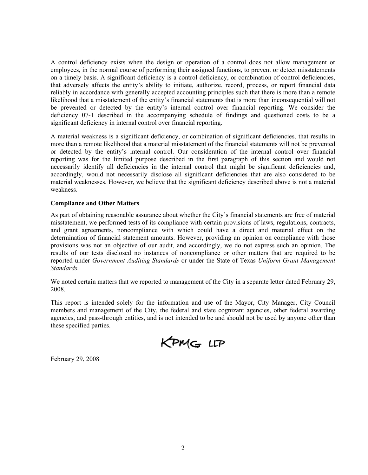A control deficiency exists when the design or operation of a control does not allow management or employees, in the normal course of performing their assigned functions, to prevent or detect misstatements on a timely basis. A significant deficiency is a control deficiency, or combination of control deficiencies, that adversely affects the entity's ability to initiate, authorize, record, process, or report financial data reliably in accordance with generally accepted accounting principles such that there is more than a remote likelihood that a misstatement of the entity's financial statements that is more than inconsequential will not be prevented or detected by the entity's internal control over financial reporting. We consider the deficiency 07-1 described in the accompanying schedule of findings and questioned costs to be a significant deficiency in internal control over financial reporting.

A material weakness is a significant deficiency, or combination of significant deficiencies, that results in more than a remote likelihood that a material misstatement of the financial statements will not be prevented or detected by the entity's internal control. Our consideration of the internal control over financial reporting was for the limited purpose described in the first paragraph of this section and would not necessarily identify all deficiencies in the internal control that might be significant deficiencies and, accordingly, would not necessarily disclose all significant deficiencies that are also considered to be material weaknesses. However, we believe that the significant deficiency described above is not a material weakness.

#### **Compliance and Other Matters**

As part of obtaining reasonable assurance about whether the City's financial statements are free of material misstatement, we performed tests of its compliance with certain provisions of laws, regulations, contracts, and grant agreements, noncompliance with which could have a direct and material effect on the determination of financial statement amounts. However, providing an opinion on compliance with those provisions was not an objective of our audit, and accordingly, we do not express such an opinion. The results of our tests disclosed no instances of noncompliance or other matters that are required to be reported under *Government Auditing Standards* or under the State of Texas *Uniform Grant Management Standards.* 

We noted certain matters that we reported to management of the City in a separate letter dated February 29, 2008.

This report is intended solely for the information and use of the Mayor, City Manager, City Council members and management of the City, the federal and state cognizant agencies, other federal awarding agencies, and pass-through entities, and is not intended to be and should not be used by anyone other than these specified parties.

KPMG LLP

February 29, 2008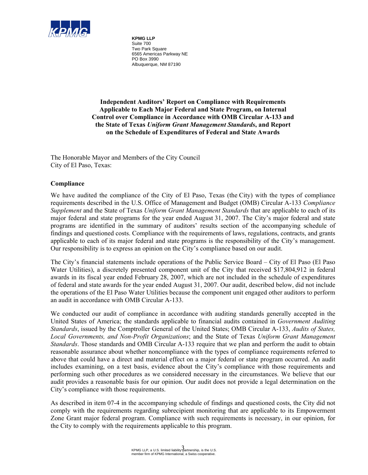

**KPMG LLP** Suite 700 Two Park Square 6565 Americas Parkway NE PO Box 3990 Albuquerque, NM 87190

**Independent Auditors' Report on Compliance with Requirements Applicable to Each Major Federal and State Program, on Internal Control over Compliance in Accordance with OMB Circular A-133 and the State of Texas** *Uniform Grant Management Standards***, and Report on the Schedule of Expenditures of Federal and State Awards** 

The Honorable Mayor and Members of the City Council City of El Paso, Texas:

#### **Compliance**

We have audited the compliance of the City of El Paso, Texas (the City) with the types of compliance requirements described in the U.S. Office of Management and Budget (OMB) Circular A-133 *Compliance Supplement* and the State of Texas *Uniform Grant Management Standards* that are applicable to each of its major federal and state programs for the year ended August 31, 2007. The City's major federal and state programs are identified in the summary of auditors' results section of the accompanying schedule of findings and questioned costs. Compliance with the requirements of laws, regulations, contracts, and grants applicable to each of its major federal and state programs is the responsibility of the City's management. Our responsibility is to express an opinion on the City's compliance based on our audit.

The City's financial statements include operations of the Public Service Board – City of El Paso (El Paso Water Utilities), a discretely presented component unit of the City that received \$17,804,912 in federal awards in its fiscal year ended February 28, 2007, which are not included in the schedule of expenditures of federal and state awards for the year ended August 31, 2007. Our audit, described below, did not include the operations of the El Paso Water Utilities because the component unit engaged other auditors to perform an audit in accordance with OMB Circular A-133.

We conducted our audit of compliance in accordance with auditing standards generally accepted in the United States of America; the standards applicable to financial audits contained in *Government Auditing Standards*, issued by the Comptroller General of the United States; OMB Circular A-133, *Audits of States, Local Governments, and Non-Profit Organizations*; and the State of Texas *Uniform Grant Management Standards*. Those standards and OMB Circular A-133 require that we plan and perform the audit to obtain reasonable assurance about whether noncompliance with the types of compliance requirements referred to above that could have a direct and material effect on a major federal or state program occurred. An audit includes examining, on a test basis, evidence about the City's compliance with those requirements and performing such other procedures as we considered necessary in the circumstances. We believe that our audit provides a reasonable basis for our opinion. Our audit does not provide a legal determination on the City's compliance with those requirements.

As described in item 07-4 in the accompanying schedule of findings and questioned costs, the City did not comply with the requirements regarding subrecipient monitoring that are applicable to its Empowerment Zone Grant major federal program. Compliance with such requirements is necessary, in our opinion, for the City to comply with the requirements applicable to this program.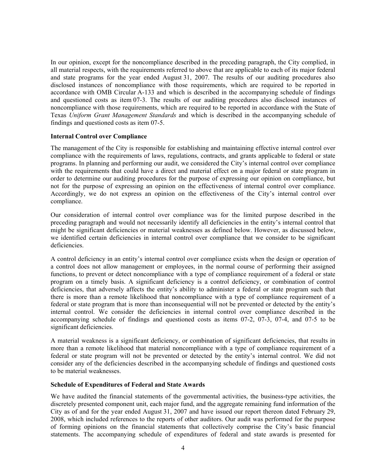In our opinion, except for the noncompliance described in the preceding paragraph, the City complied, in all material respects, with the requirements referred to above that are applicable to each of its major federal and state programs for the year ended August 31, 2007. The results of our auditing procedures also disclosed instances of noncompliance with those requirements, which are required to be reported in accordance with OMB Circular A-133 and which is described in the accompanying schedule of findings and questioned costs as item 07-3. The results of our auditing procedures also disclosed instances of noncompliance with those requirements, which are required to be reported in accordance with the State of Texas *Uniform Grant Management Standards* and which is described in the accompanying schedule of findings and questioned costs as item 07-5.

#### **Internal Control over Compliance**

The management of the City is responsible for establishing and maintaining effective internal control over compliance with the requirements of laws, regulations, contracts, and grants applicable to federal or state programs. In planning and performing our audit, we considered the City's internal control over compliance with the requirements that could have a direct and material effect on a major federal or state program in order to determine our auditing procedures for the purpose of expressing our opinion on compliance, but not for the purpose of expressing an opinion on the effectiveness of internal control over compliance. Accordingly, we do not express an opinion on the effectiveness of the City's internal control over compliance.

Our consideration of internal control over compliance was for the limited purpose described in the preceding paragraph and would not necessarily identify all deficiencies in the entity's internal control that might be significant deficiencies or material weaknesses as defined below. However, as discussed below, we identified certain deficiencies in internal control over compliance that we consider to be significant deficiencies.

A control deficiency in an entity's internal control over compliance exists when the design or operation of a control does not allow management or employees, in the normal course of performing their assigned functions, to prevent or detect noncompliance with a type of compliance requirement of a federal or state program on a timely basis. A significant deficiency is a control deficiency, or combination of control deficiencies, that adversely affects the entity's ability to administer a federal or state program such that there is more than a remote likelihood that noncompliance with a type of compliance requirement of a federal or state program that is more than inconsequential will not be prevented or detected by the entity's internal control. We consider the deficiencies in internal control over compliance described in the accompanying schedule of findings and questioned costs as items 07-2, 07-3, 07-4, and 07-5 to be significant deficiencies.

A material weakness is a significant deficiency, or combination of significant deficiencies, that results in more than a remote likelihood that material noncompliance with a type of compliance requirement of a federal or state program will not be prevented or detected by the entity's internal control. We did not consider any of the deficiencies described in the accompanying schedule of findings and questioned costs to be material weaknesses.

#### **Schedule of Expenditures of Federal and State Awards**

We have audited the financial statements of the governmental activities, the business-type activities, the discretely presented component unit, each major fund, and the aggregate remaining fund information of the City as of and for the year ended August 31, 2007 and have issued our report thereon dated February 29, 2008, which included references to the reports of other auditors. Our audit was performed for the purpose of forming opinions on the financial statements that collectively comprise the City's basic financial statements. The accompanying schedule of expenditures of federal and state awards is presented for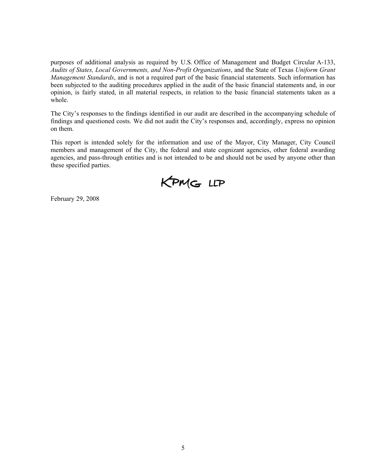purposes of additional analysis as required by U.S. Office of Management and Budget Circular A-133, *Audits of States, Local Governments, and Non-Profit Organizations*, and the State of Texas *Uniform Grant Management Standards*, and is not a required part of the basic financial statements. Such information has been subjected to the auditing procedures applied in the audit of the basic financial statements and, in our opinion, is fairly stated, in all material respects, in relation to the basic financial statements taken as a whole.

The City's responses to the findings identified in our audit are described in the accompanying schedule of findings and questioned costs. We did not audit the City's responses and, accordingly, express no opinion on them.

This report is intended solely for the information and use of the Mayor, City Manager, City Council members and management of the City, the federal and state cognizant agencies, other federal awarding agencies, and pass-through entities and is not intended to be and should not be used by anyone other than these specified parties.

KPMG LLP

February 29, 2008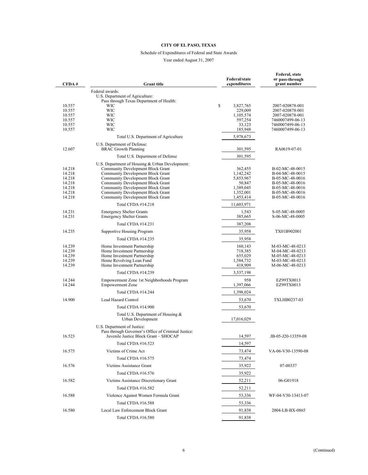#### Schedule of Expenditures of Federal and State Awards

| CFDA#            | <b>Grant</b> title                                                                           | <b>Federal/state</b><br>expenditures | Federal, state<br>or pass-through<br>grant number |
|------------------|----------------------------------------------------------------------------------------------|--------------------------------------|---------------------------------------------------|
|                  | Federal awards:                                                                              |                                      |                                                   |
|                  | U.S. Department of Agriculture:                                                              |                                      |                                                   |
| 10.557           | Pass through Texas Department of Health:<br>WIC                                              | \$<br>3,827,765                      | 2007-020878-001                                   |
| 10.557           | <b>WIC</b>                                                                                   | 229,009                              | 2007-020878-001                                   |
| 10.557           | <b>WIC</b>                                                                                   | 1,105,574                            | 2007-020878-001                                   |
| 10.557<br>10.557 | WIC<br>WIC                                                                                   | 597,254<br>33,123                    | 7460007499-06-13<br>7460007499-06-13              |
| 10.557           | <b>WIC</b>                                                                                   | 185,948                              | 7460007499-06-13                                  |
|                  | Total U.S. Department of Agriculture                                                         | 5,978,673                            |                                                   |
| 12.607           | U.S. Department of Defense:<br><b>BRAC</b> Growth Planning                                   | 301,595                              | RA0619-07-01                                      |
|                  | Total U.S. Department of Defense                                                             | 301,595                              |                                                   |
|                  | U.S. Department of Housing & Urban Development:                                              |                                      |                                                   |
| 14.218           | <b>Community Development Block Grant</b>                                                     | 362,455                              | B-02-MC-48-0015                                   |
| 14.218           | Community Development Block Grant                                                            | 1,142,242                            | B-04-MC-48-0015                                   |
| 14.218<br>14.218 | Community Development Block Grant<br><b>Community Development Block Grant</b>                | 5,853,967                            | B-05-MC-48-0016                                   |
| 14.218           | <b>Community Development Block Grant</b>                                                     | 50,847<br>1,389,045                  | B-05-MC-48-0016<br>B-05-MC-48-0016                |
| 14.218           | Community Development Block Grant                                                            | 1,352,001                            | B-05-MC-48-0016                                   |
| 14.218           | <b>Community Development Block Grant</b>                                                     | 1,453,414                            | B-05-MC-48-0016                                   |
|                  | <b>Total CFDA #14.218</b>                                                                    | 11,603,971                           |                                                   |
| 14.231<br>14.231 | <b>Emergency Shelter Grants</b><br><b>Emergency Shelter Grants</b>                           | 1,543<br>385,665                     | S-05-MC-48-0005<br>S-06-MC-48-0005                |
|                  | Total CFDA #14.231                                                                           | 387,208                              |                                                   |
| 14.235           | <b>Supportive Housing Program</b>                                                            | 35,958                               | TX01B902001                                       |
|                  | <b>Total CFDA #14.235</b>                                                                    | 35,958                               |                                                   |
| 14.239           | Home Investment Partnership                                                                  | 160,143                              | M-03-MC-48-0213                                   |
| 14.239           | Home Investment Partnership                                                                  | 718,385                              | M-04-MC-48-0213                                   |
| 14.239<br>14.239 | Home Investment Partnership<br>Home Revolving Loan Fund                                      | 655,029<br>1,584,732                 | M-05-MC-48-0213<br>M-03-MC-48-0213                |
| 14.239           | Home Investment Partnership                                                                  | 418,909                              | M-06-MC-48-0213                                   |
|                  | <b>Total CFDA #14.239</b>                                                                    | 3,537,198                            |                                                   |
| 14.244           | Empowerment Zone 1st Neighborhoods Program                                                   | 958                                  | EZ99TX0013                                        |
| 14.244           | <b>Empowerment Zone</b>                                                                      | 1,397,066                            | EZ99TX0013                                        |
| 14.900           | <b>Total CFDA #14.244</b><br>Lead Hazard Control                                             | 1,398,024<br>53,670                  | TXLHB0237-03                                      |
|                  |                                                                                              |                                      |                                                   |
|                  | Total CFDA #14.900                                                                           | 53,670                               |                                                   |
|                  | Total U.S. Department of Housing $&$<br>Urban Development                                    | 17.016.029                           |                                                   |
|                  | U.S. Department of Justice:                                                                  |                                      |                                                   |
| 16.523           | Pass through Governor's Office of Criminal Justice:<br>Juvenile Justice Block Grant - SHOCAP |                                      |                                                   |
|                  |                                                                                              | 14,597                               | JB-05-J20-13359-08                                |
| 16.575           | Total CFDA #16.523<br>Victims of Crime Act                                                   | 14,597                               | VA-06-V30-13590-08                                |
|                  | Total CFDA #16.575                                                                           | 73,474                               |                                                   |
|                  |                                                                                              | 73,474                               |                                                   |
| 16.576           | Victims Assistance Grant<br>Total CFDA #16.576                                               | 35,922                               | 07-00337                                          |
|                  |                                                                                              | 35,922                               |                                                   |
| 16.582           | Victims Assistance Discretionary Grant                                                       | 52,211                               | 06-G01918                                         |
|                  | Total CFDA #16.582                                                                           | 52,211                               |                                                   |
| 16.588           | Violence Against Women Formula Grant                                                         | 53,336                               | WF-04-V30-13413-07                                |
|                  | Total CFDA #16.588                                                                           | 53,336                               |                                                   |
| 16.580           | Local Law Enforcement Block Grant                                                            | 91,838                               | 2004-LB-BX-0865                                   |
|                  | Total CFDA #16.580                                                                           | 91,838                               |                                                   |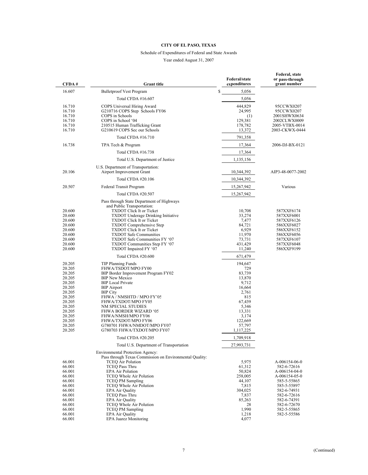#### Schedule of Expenditures of Federal and State Awards

| CFDA#            | <b>Grant title</b>                                                                          | <b>Federal/state</b><br>expenditures | Federal, state<br>or pass-through<br>grant number |
|------------------|---------------------------------------------------------------------------------------------|--------------------------------------|---------------------------------------------------|
| 16.607           | <b>Bulletproof Vest Program</b>                                                             | \$<br>5,056                          |                                                   |
|                  | Total CFDA #16.607                                                                          | 5,056                                |                                                   |
| 16.710           | COPS Universal Hiring Award                                                                 | 444,829                              | 95CCWX0207                                        |
| 16.710           | G210716 COPS Step Schools FY06                                                              | 24,995                               | 95CCWX0207                                        |
| 16.710           | COPS in Schools                                                                             | (1)                                  | 2001SHWX0634                                      |
| 16.710           | COPS in School '04                                                                          | 129,381                              | 2002CLWX0009                                      |
| 16.710           | 210515 Human Trafficking Grant                                                              | 178,782                              | 2005-VTBX-0014                                    |
| 16.710           | G210619 COPS Sec our Schools                                                                | 13,372                               | 2003-CKWX-0444                                    |
|                  | Total CFDA #16.710                                                                          | 791,358                              |                                                   |
| 16.738           | TPA Tech & Program                                                                          | 17,364                               | 2006-DJ-BX-0121                                   |
|                  | Total CFDA #16.738                                                                          | 17,364                               |                                                   |
|                  | Total U.S. Department of Justice                                                            | 1,135,156                            |                                                   |
| 20.106           | U.S. Department of Transportation:<br>Airport Improvement Grant                             | 10,344,392                           | AIP3-48-0077-2002                                 |
|                  | Total CFDA #20.106                                                                          | 10,344,392                           |                                                   |
| 20.507           | Federal Transit Program                                                                     | 15,267,942                           | Various                                           |
|                  | <b>Total CFDA #20.507</b>                                                                   | 15,267,942                           |                                                   |
|                  | Pass through State Department of Highways                                                   |                                      |                                                   |
|                  | and Public Transportation:                                                                  |                                      |                                                   |
| 20.600           | <b>TXDOT Click It or Ticket</b>                                                             | 10,708                               | 587XXF6174                                        |
| 20.600           | <b>TXDOT</b> Underage Drinking Initiative                                                   | 33,274                               | 587XXF6001                                        |
| 20.600           | <b>TXDOT Click It or Ticket</b>                                                             | 7,477                                | 587XXF6126                                        |
| 20.600           | <b>TXDOT</b> Comprehensive Step<br><b>TXDOT Click It or Ticket</b>                          | 84,721<br>6,929                      | 586XXF6027                                        |
| 20.600<br>20.600 | <b>TXDOT Safe Communities</b>                                                               | 11,970                               | 586XXF6152<br>586XXF6056                          |
| 20.600           | TXDOT Safe Communities FY '07                                                               | 73,731                               | 587XXF6107                                        |
| 20.600           | TXDOT Communities Step FY '07                                                               | 431,429                              | 587XXF6048                                        |
| 20.600           | TXDOT Impaired FY '07                                                                       | 11,240                               | 586XXF9199                                        |
|                  | Total CFDA #20.600                                                                          | 671,479                              |                                                   |
| 20.205           | TIP Planning Funds                                                                          | 194,647                              |                                                   |
| 20.205           | FHWA/TSDOT/MPO FY00                                                                         | 729                                  |                                                   |
| 20.205           | BIP Border Improvement Program FY02                                                         | 83,739                               |                                                   |
| 20.205           | <b>BIP New Mexico</b>                                                                       | 13,870                               |                                                   |
| 20.205           | <b>BIP</b> Local Private                                                                    | 9,712                                |                                                   |
| 20.205<br>20.205 | <b>BIP</b> Airport<br><b>BIP City</b>                                                       | 16,664<br>2,761                      |                                                   |
| 20.205           | FHWA / NMSHTD / MPO FY'05                                                                   | 815                                  |                                                   |
| 20.205           | FHWA/TXDOT/MPO FY05                                                                         | 67,439                               |                                                   |
| 20.205           | NM SPECIAL STUDIES                                                                          | 5,346                                |                                                   |
| 20.205           | <b>FHWA BORDER WIZARD '05</b>                                                               | 13,331                               |                                                   |
| 20.205           | FHWA/NMSH/MPO FY06                                                                          | 3,174                                |                                                   |
| 20.205           | FHWA/TXDOT/MPO FY06                                                                         | 122,669                              |                                                   |
| 20.205<br>20.205 | G780701 FHWA/NMDOT/MPO FY07                                                                 | 57,797                               |                                                   |
|                  | G780703 FHWA/TXDOT/MPO FY07                                                                 | 1,117,225                            |                                                   |
|                  | <b>Total CFDA #20.205</b>                                                                   | 1,709,918                            |                                                   |
|                  | Total U.S. Department of Transportation                                                     | 27,993,731                           |                                                   |
|                  | Environmental Protection Agency:<br>Pass through Texas Commission on Environmental Quality: |                                      |                                                   |
| 66.001           | <b>TCEO Air Polution</b>                                                                    | 5,975                                | A-006154-06-0                                     |
| 66.001           | <b>TCEQ Pass Thru</b>                                                                       | 61,312                               | 582-6-72616                                       |
| 66.001           | <b>EPA Air Polution</b>                                                                     | 50,824                               | A-006154-04-0                                     |
| 66.001           | <b>TCEO</b> Whole Air Polution                                                              | 258,005                              | A-006154-05-0                                     |
| 66.001           | <b>TCEQ PM Sampling</b>                                                                     | 44,107                               | 585-5-55865                                       |
| 66.001           | <b>TCEQ Whole Air Polution</b>                                                              | 7,815                                | 585-5-55897                                       |
| 66.001           | <b>EPA Air Quality</b>                                                                      | 304,025                              | 582-6-74931                                       |
| 66.001           | <b>TCEO Pass Thru</b>                                                                       | 7,837                                | 582-6-72616                                       |
| 66.001           | <b>EPA Air Quality</b>                                                                      | 85,263                               | 582-6-74391                                       |
| 66.001           | <b>TCEQ Whole Air Polution</b>                                                              | 28                                   | 582-6-72670                                       |
|                  |                                                                                             |                                      |                                                   |
| 66.001<br>66.001 | <b>TCEQ PM Sampling</b><br><b>EPA Air Quality</b>                                           | 1,990<br>1,218                       | 582-5-55865<br>582-5-55586                        |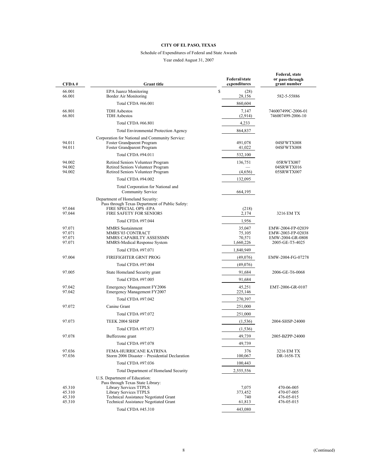#### Schedule of Expenditures of Federal and State Awards

| CFDA#                                | <b>Grant</b> title                                                                                                                                                                                       | <b>Federal/state</b><br>expenditures    | Federal, state<br>or pass-through<br>grant number                             |
|--------------------------------------|----------------------------------------------------------------------------------------------------------------------------------------------------------------------------------------------------------|-----------------------------------------|-------------------------------------------------------------------------------|
| 66.001<br>66.001                     | <b>EPA Juarez Monitoring</b><br>Border Air Monitoring                                                                                                                                                    | S<br>(28)<br>28,156                     | 582-5-55886                                                                   |
|                                      | <b>Total CFDA #66.001</b>                                                                                                                                                                                | 860,604                                 |                                                                               |
| 66.801<br>66.801                     | <b>TDH</b> Asbestos<br><b>TDH</b> Asbestos                                                                                                                                                               | 7,147<br>(2,914)                        | 746007499C-2006-01<br>746007499-2006-10                                       |
|                                      | Total CFDA #66.801                                                                                                                                                                                       | 4,233                                   |                                                                               |
|                                      | <b>Total Environmental Protection Agency</b>                                                                                                                                                             | 864,837                                 |                                                                               |
| 94.011<br>94.011                     | Corporation for National and Community Service:<br>Foster Grandparent Program<br>Foster Grandparent Program                                                                                              | 491,078<br>41,022                       | 04SFWTX008<br>04SFWTX008                                                      |
|                                      | Total CFDA #94.011                                                                                                                                                                                       | 532,100                                 |                                                                               |
| 94.002<br>94.002<br>94.002           | Retired Seniors Volunteer Program<br>Retired Seniors Volunteer Program<br>Retired Seniors Volunteer Program                                                                                              | 136,751<br>(4,656)                      | 05RWTX007<br>04SRWTX016<br>05SRWTX007                                         |
|                                      | Total CFDA #94.002                                                                                                                                                                                       |                                         |                                                                               |
|                                      |                                                                                                                                                                                                          | 132,095                                 |                                                                               |
|                                      | Total Corporation for National and<br>Community Service                                                                                                                                                  | 664,195                                 |                                                                               |
| 97.044<br>97.044                     | Department of Homeland Security:<br>Pass through Texas Department of Public Safety:<br>FIRE SPECIAL OPS -EPA<br><b>FIRE SAFETY FOR SENIORS</b>                                                           | (218)<br>2,174                          | 3216 EM TX                                                                    |
|                                      | Total CFDA #97.044                                                                                                                                                                                       | 1,956                                   |                                                                               |
| 97.071<br>97.071<br>97.071<br>97.071 | <b>MMRS</b> Sustainment<br>MMRS'03 CONTRACT<br>MMRS CAPABILTY ASSESSMN<br><b>MMRS-Medical Response System</b>                                                                                            | 35,047<br>75,105<br>70,571<br>1,660,226 | EMW-2004-FP-02039<br>EMW-2003-FP-02038<br>EMW-2004-GR-0808<br>2005-GE-T5-4025 |
|                                      | Total CFDA #97.071                                                                                                                                                                                       | 1,840,949                               |                                                                               |
| 97.004                               | <b>FIREFIGHTER GRNT PROG</b>                                                                                                                                                                             | (49,076)                                | EMW-2004-FG-07278                                                             |
|                                      | Total CFDA #97.004                                                                                                                                                                                       | (49,076)                                |                                                                               |
| 97.005                               | State Homeland Security grant                                                                                                                                                                            | 91,684                                  | 2006-GE-T6-0068                                                               |
|                                      | Total CFDA #97.005                                                                                                                                                                                       | 91,684                                  |                                                                               |
| 97.042<br>97.042                     | Emergency Management FY2006<br>Emergency Management FY2007                                                                                                                                               | 45,251<br>225,146                       | EMT-2006-GR-0107                                                              |
|                                      | Total CFDA #97.042                                                                                                                                                                                       | 270,397                                 |                                                                               |
| 97.072                               | Canine Grant                                                                                                                                                                                             | 251,000                                 |                                                                               |
|                                      | Total CFDA #97.072                                                                                                                                                                                       | 251,000                                 |                                                                               |
| 97.073                               | TEEK 2004 SHSP                                                                                                                                                                                           | (1, 536)                                | 2004-SHSP-24000                                                               |
|                                      | Total CFDA #97.073                                                                                                                                                                                       | (1, 536)                                |                                                                               |
| 97.078                               | Bufferzone grant                                                                                                                                                                                         | 49,739                                  | 2005-BZPP-24000                                                               |
|                                      | Total CFDA #97.078                                                                                                                                                                                       | 49,739                                  |                                                                               |
| 97.036<br>97.036                     | FEMA-HURRICANE KATRINA<br>Storm 2006 Disaster - Presidential Declaration                                                                                                                                 | 376<br>100,067                          | 3216 EM TX<br>DR-1658-TX                                                      |
|                                      | Total CFDA #97.036                                                                                                                                                                                       | 100,443                                 |                                                                               |
|                                      | <b>Total Department of Homeland Security</b>                                                                                                                                                             | 2,555,556                               |                                                                               |
| 45.310<br>45.310<br>45.310<br>45.310 | U.S. Department of Education:<br>Pass through Texas State Library:<br>Library Services TTPLS<br>Library Services TTPLS<br>Technical Assistance Negotiated Grant<br>Technical Assistance Negotiated Grant | 7,075<br>373,452<br>740<br>61,813       | 470-06-005<br>470-07-005<br>476-05-015<br>476-05-015                          |
|                                      | Total CFDA #45.310                                                                                                                                                                                       | 443,080                                 |                                                                               |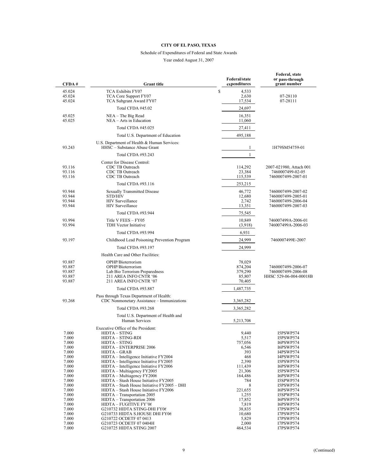#### Schedule of Expenditures of Federal and State Awards

| CFDA#                                | <b>Grant</b> title                                                                                 | Federal/state<br>expenditures          | Federal, state<br>or pass-through<br>grant number                  |
|--------------------------------------|----------------------------------------------------------------------------------------------------|----------------------------------------|--------------------------------------------------------------------|
| 45.024                               | <b>TCA Exhibits FY07</b>                                                                           | \$<br>4,533                            |                                                                    |
| 45.024<br>45.024                     | TCA Core Support FY07<br>TCA Subgrant Award FY07                                                   | 2,630<br>17,534                        | 07-28110<br>07-28111                                               |
|                                      | Total CFDA #45.02                                                                                  | 24,697                                 |                                                                    |
| 45.025<br>45.025                     | NEA - The Big Read<br>NEA - Arts in Education                                                      | 16,351<br>11,060                       |                                                                    |
|                                      | Total CFDA #45.025                                                                                 | 27,411                                 |                                                                    |
|                                      | Total U.S. Department of Education                                                                 | 495,188                                |                                                                    |
| 93.243                               | U.S. Department of Health & Human Services:<br>HHSC - Substance Abuse Grant                        | 1                                      | 1H79SM54759-01                                                     |
|                                      | Total CFDA #93.243                                                                                 | $\mathbf{1}$                           |                                                                    |
| 93.116<br>93.116                     | Center for Disease Control:<br>CDC TB Outreach<br>CDC TB Outreach                                  | 114,292<br>23,384                      | 2007-021980, Attach 001<br>7460007499-02-05                        |
| 93.116                               | CDC TB Outreach                                                                                    | 115,539                                | 7460007499-2007-01                                                 |
|                                      | Total CFDA #93.116                                                                                 | 253,215                                |                                                                    |
| 93.944<br>93.944                     | <b>Sexually Transmitted Disease</b><br>STD/HIV                                                     | 46,772<br>12,680                       | 7460007499-2007-02<br>7460007499-2005-01                           |
| 93.944<br>93.944                     | HIV Surveillance<br><b>HIV Surveillance</b>                                                        | 2,742<br>13,351                        | 7460007499-2006-04<br>7460007499-2007-03                           |
|                                      | Total CFDA #93.944                                                                                 | 75,545                                 |                                                                    |
| 93.994<br>93.994                     | Title V FEES - FY05<br><b>TDH Vector Initiative</b>                                                | 10,849<br>(3,918)                      | 746007499A-2006-01<br>746007499A-2006-03                           |
|                                      | Total CFDA #93.994                                                                                 | 6,931                                  |                                                                    |
| 93.197                               | Childhood Lead Poisoning Prevention Program                                                        | 24,999                                 | 7460007499E-2007                                                   |
|                                      | Total CFDA #93.197                                                                                 | 24,999                                 |                                                                    |
|                                      | Health Care and Other Facilities:                                                                  |                                        |                                                                    |
| 93.887<br>93.887<br>93.887<br>93.887 | OPHP/Bioterrorism<br>OPHP/Bioterrorism<br>Lab Bio Terrorism Preparedness<br>211 AREA INFO CNTR '06 | 78,029<br>874,204<br>379,290<br>85,807 | 7460007499-2006-07<br>7460007499-2006-08<br>HHSC 529-06-004-00018B |
| 93.887                               | 211 AREA INFO CNTR '07                                                                             | 70,405                                 |                                                                    |
|                                      | Total CFDA #93.887                                                                                 | 1,487,735                              |                                                                    |
| 93.268                               | Pass through Texas Department of Health:<br>CDC Nonmonetary Assistance - Immunizations             | 3,365,282                              |                                                                    |
|                                      | Total CFDA #93.268                                                                                 | 3,365,282                              |                                                                    |
|                                      | Total U.S. Department of Health and<br>Human Services                                              | 5,213,708                              |                                                                    |
| 7.000                                | Executive Office of the President:<br>HIDTA - STING                                                | 9,440                                  | I5PSWP574                                                          |
| 7.000                                | <b>HIDTA - STING-RDI</b>                                                                           | 5,517                                  | I5PSWP574                                                          |
| 7.000                                | HIDTA – STING<br>HIDTA - ENTERPRISE 2006                                                           | 757,056                                | I6PSWP574                                                          |
| 7.000<br>7.000                       | HIDTA – GRAB                                                                                       | 6,546<br>393                           | I6PSWP574<br>I4PSWP574                                             |
| 7.000                                | HIDTA – Intelligence Initiative FY2004                                                             | 468                                    | I4PSWP574                                                          |
| 7.000                                | HIDTA - Intelligence Initiative FY2005<br>HIDTA - Intelligence Initiative FY2006                   | 2,390                                  | I5PSWP574                                                          |
| 7.000<br>7.000                       | HIDTA - Multiagency FY2005                                                                         | 111,439<br>21,306                      | I6PSWP574<br>I5PSWP574                                             |
| 7.000                                | HIDTA – Multiagency FY2006                                                                         | 164,486                                | I6PSWP574                                                          |
| 7.000                                | HIDTA - Stash House Initiative FY2005                                                              | 784                                    | I5SPWP574                                                          |
| 7.000                                | HIDTA – Stash House Initiative FY2005 – DHI                                                        | 8                                      | I5PSWP574                                                          |
| 7.000<br>7.000                       | HIDTA - Stash House Initiative FY2006<br>HIDTA - Transportation 2005                               | 221,655<br>1,255                       | I6PSWP574<br>I5SPWP574                                             |
| 7.000                                | HIDTA - Transportation 2006                                                                        | 17,852                                 | I6PSWP574                                                          |
| 7.000                                | HIDTA - FUGITIVE FY'06                                                                             | 7,819                                  | I6PSWP574                                                          |
| 7.000                                | G210732 HIDTA STING-DHI FY06                                                                       | 38,835                                 | I7PSWP574                                                          |
| 7.000                                | G210733 HIDTA S.HOUSE DHI FY06                                                                     | 10,680                                 | I7PSWP574                                                          |
| 7.000<br>7.000                       | G210722 OCDETF 07 0413<br>G210723 OCDETF 07 0404H                                                  | 5,829<br>2,000                         | I7PSWP574                                                          |
| 7.000                                | G210725 HIDTA STING 2007                                                                           | 464,534                                | I7PSWP574<br>I7PSWP574                                             |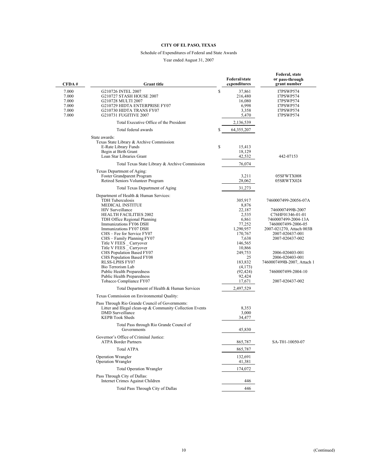#### Schedule of Expenditures of Federal and State Awards

| CFDA#                                              | <b>Grant title</b>                                                                                                                                                                                                                                                                                                                                                                                                                                                                                                                                                                                                                                                                                            |    | <b>Federal/state</b><br>expenditures                                                                                                                                                              | Federal, state<br>or pass-through<br>grant number                                                                                                                                                                                                                                        |
|----------------------------------------------------|---------------------------------------------------------------------------------------------------------------------------------------------------------------------------------------------------------------------------------------------------------------------------------------------------------------------------------------------------------------------------------------------------------------------------------------------------------------------------------------------------------------------------------------------------------------------------------------------------------------------------------------------------------------------------------------------------------------|----|---------------------------------------------------------------------------------------------------------------------------------------------------------------------------------------------------|------------------------------------------------------------------------------------------------------------------------------------------------------------------------------------------------------------------------------------------------------------------------------------------|
| 7.000<br>7.000<br>7.000<br>7.000<br>7.000<br>7.000 | G210726 INTEL 2007<br><b>G210727 STASH HOUSE 2007</b><br>G210728 MULTI 2007<br>G210729 HIDTA ENTERPRISE FY07<br>G210730 HIDTA TRANS FY07<br>G210731 FUGITIVE 2007                                                                                                                                                                                                                                                                                                                                                                                                                                                                                                                                             | \$ | 37,861<br>216,480<br>16,080<br>6,998<br>3,358<br>5,470                                                                                                                                            | I7PSWP574<br>I7PSWP574<br>I7PSWP574<br>I7PSWP574<br>I7PSWP574<br>I7PSWP574                                                                                                                                                                                                               |
|                                                    | Total Executive Office of the President                                                                                                                                                                                                                                                                                                                                                                                                                                                                                                                                                                                                                                                                       |    | 2,136,539                                                                                                                                                                                         |                                                                                                                                                                                                                                                                                          |
|                                                    | Total federal awards                                                                                                                                                                                                                                                                                                                                                                                                                                                                                                                                                                                                                                                                                          | S  | 64, 355, 207                                                                                                                                                                                      |                                                                                                                                                                                                                                                                                          |
|                                                    | State awards:<br>Texas State Library & Archive Commission:<br>E-Rate Library Funds<br>Begin at Birth Grant<br>Loan Star Libraries Grant<br>Total Texas State Library & Archive Commission                                                                                                                                                                                                                                                                                                                                                                                                                                                                                                                     | \$ | 15,413<br>18,129<br>42,532<br>76,074                                                                                                                                                              | 442-07153                                                                                                                                                                                                                                                                                |
|                                                    |                                                                                                                                                                                                                                                                                                                                                                                                                                                                                                                                                                                                                                                                                                               |    |                                                                                                                                                                                                   |                                                                                                                                                                                                                                                                                          |
|                                                    | Texas Department of Aging:<br>Foster Grandparent Program<br>Retired Seniors Volunteer Program                                                                                                                                                                                                                                                                                                                                                                                                                                                                                                                                                                                                                 |    | 3,211<br>28,062                                                                                                                                                                                   | 05SFWTX008<br>05SRWTX024                                                                                                                                                                                                                                                                 |
|                                                    | Total Texas Department of Aging                                                                                                                                                                                                                                                                                                                                                                                                                                                                                                                                                                                                                                                                               |    | 31,273                                                                                                                                                                                            |                                                                                                                                                                                                                                                                                          |
|                                                    | Department of Health & Human Services:<br><b>TDH</b> Tuberculosis<br><b>MEDICAL INSTITUE</b><br><b>HIV</b> Surveillance<br><b>HEALTH FACILITIES 2002</b><br>TDH Office Regional Planning<br>Immunizations FY06 DSH<br>Immunizations FY07 DSH<br>CHS – Fee for Service FY07<br>CHS - Family Planning FY07<br>Title V FEES _ Carryover<br>Title V FEES Carryover<br>CHS Population Based FY07<br>CHS Population Based FY08<br>RLSS-LPHS FY07<br>Bio Terrorism Lab<br>Public Health Preparedness<br><b>Public Health Preparedness</b><br>Tobacco Compliance FY07<br>Total Department of Health & Human Services<br>Texas Commission on Environmental Quality:<br>Pass Through Rio Grande Council of Governments: |    | 305,917<br>8,876<br>22.187<br>2,535<br>6,861<br>77,252<br>1,290,957<br>170,767<br>7,638<br>146,565<br>10,866<br>249,753<br>25<br>183,832<br>(4,173)<br>(92, 424)<br>92,424<br>17,671<br>2,497,529 | 7460007499-20056-07A<br>7460007499B-2007<br>C76HF01346-01-01<br>7460007499-2004-13A<br>7460007499-2006-05<br>2007-021270, Attach 003B<br>2007-020437-001<br>2007-020437-002<br>2006-020403-001<br>2006-020403-001<br>7460007499B-2007, Attach 1<br>7460007499-2004-10<br>2007-020437-002 |
|                                                    | Litter and Illegal clean-up & Community Collection Events<br>DMD Surveillance<br><b>KEPB Took Sheds</b>                                                                                                                                                                                                                                                                                                                                                                                                                                                                                                                                                                                                       |    | 8,353<br>3,000<br>34,477                                                                                                                                                                          |                                                                                                                                                                                                                                                                                          |
|                                                    | Total Pass through Rio Grande Council of<br>Governments                                                                                                                                                                                                                                                                                                                                                                                                                                                                                                                                                                                                                                                       |    | 45,830                                                                                                                                                                                            |                                                                                                                                                                                                                                                                                          |
|                                                    | Governor's Office of Criminal Justice:<br><b>ATPA Border Partners</b>                                                                                                                                                                                                                                                                                                                                                                                                                                                                                                                                                                                                                                         |    | 865,787                                                                                                                                                                                           | SA-T01-10050-07                                                                                                                                                                                                                                                                          |
|                                                    | <b>Total ATPA</b>                                                                                                                                                                                                                                                                                                                                                                                                                                                                                                                                                                                                                                                                                             |    | 865,787                                                                                                                                                                                           |                                                                                                                                                                                                                                                                                          |
|                                                    | <b>Operation Wrangler</b><br><b>Operation Wrangler</b>                                                                                                                                                                                                                                                                                                                                                                                                                                                                                                                                                                                                                                                        |    | 132,691<br>41,381                                                                                                                                                                                 |                                                                                                                                                                                                                                                                                          |
|                                                    | <b>Total Operation Wrangler</b>                                                                                                                                                                                                                                                                                                                                                                                                                                                                                                                                                                                                                                                                               |    | 174,072                                                                                                                                                                                           |                                                                                                                                                                                                                                                                                          |
|                                                    | Pass Through City of Dallas:<br>Internet Crimes Against Children                                                                                                                                                                                                                                                                                                                                                                                                                                                                                                                                                                                                                                              |    | 446                                                                                                                                                                                               |                                                                                                                                                                                                                                                                                          |
|                                                    | Total Pass Through City of Dallas                                                                                                                                                                                                                                                                                                                                                                                                                                                                                                                                                                                                                                                                             |    | 446                                                                                                                                                                                               |                                                                                                                                                                                                                                                                                          |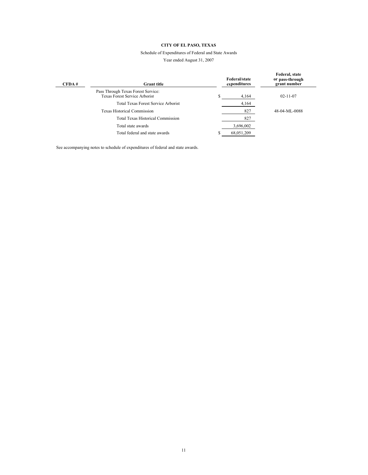#### Schedule of Expenditures of Federal and State Awards

#### Year ended August 31, 2007

| CFDA# | <b>Grant title</b>                                                  | Federal/state<br>expenditures | Federal, state<br>or pass-through<br>grant number |
|-------|---------------------------------------------------------------------|-------------------------------|---------------------------------------------------|
|       | Pass Through Texas Forest Service:<br>Texas Forest Service Arborist | 4,164                         | $02 - 11 - 07$                                    |
|       | Total Texas Forest Service Arborist                                 | 4,164                         |                                                   |
|       | <b>Texas Historical Commission</b>                                  | 827                           | 48-04-ML-0088                                     |
|       | <b>Total Texas Historical Commission</b>                            | 827                           |                                                   |
|       | Total state awards                                                  | 3,696,002                     |                                                   |
|       | Total federal and state awards                                      | 68,051,209                    |                                                   |

See accompanying notes to schedule of expenditures of federal and state awards.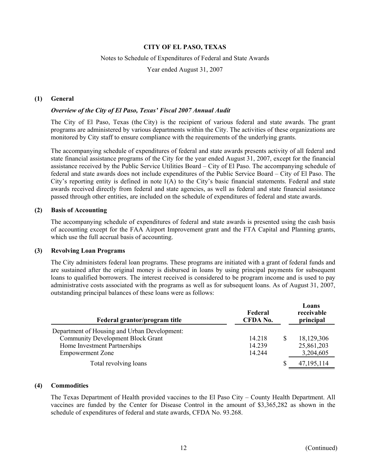#### Notes to Schedule of Expenditures of Federal and State Awards

Year ended August 31, 2007

#### **(1) General**

#### *Overview of the City of El Paso, Texas' Fiscal 2007 Annual Audit*

The City of El Paso, Texas (the City) is the recipient of various federal and state awards. The grant programs are administered by various departments within the City. The activities of these organizations are monitored by City staff to ensure compliance with the requirements of the underlying grants.

The accompanying schedule of expenditures of federal and state awards presents activity of all federal and state financial assistance programs of the City for the year ended August 31, 2007, except for the financial assistance received by the Public Service Utilities Board – City of El Paso. The accompanying schedule of federal and state awards does not include expenditures of the Public Service Board – City of El Paso. The City's reporting entity is defined in note  $1(A)$  to the City's basic financial statements. Federal and state awards received directly from federal and state agencies, as well as federal and state financial assistance passed through other entities, are included on the schedule of expenditures of federal and state awards.

#### **(2) Basis of Accounting**

The accompanying schedule of expenditures of federal and state awards is presented using the cash basis of accounting except for the FAA Airport Improvement grant and the FTA Capital and Planning grants, which use the full accrual basis of accounting.

#### **(3) Revolving Loan Programs**

The City administers federal loan programs. These programs are initiated with a grant of federal funds and are sustained after the original money is disbursed in loans by using principal payments for subsequent loans to qualified borrowers. The interest received is considered to be program income and is used to pay administrative costs associated with the programs as well as for subsequent loans. As of August 31, 2007, outstanding principal balances of these loans were as follows:

| Federal grantor/program title                                                                                                                       | Federal<br>CFDA No.        |   | Loans<br>receivable<br>principal      |
|-----------------------------------------------------------------------------------------------------------------------------------------------------|----------------------------|---|---------------------------------------|
| Department of Housing and Urban Development:<br><b>Community Development Block Grant</b><br>Home Investment Partnerships<br><b>Empowerment Zone</b> | 14.218<br>14.239<br>14.244 |   | 18,129,306<br>25,861,203<br>3,204,605 |
| Total revolving loans                                                                                                                               |                            | S | 47, 195, 114                          |

### **(4) Commodities**

The Texas Department of Health provided vaccines to the El Paso City – County Health Department. All vaccines are funded by the Center for Disease Control in the amount of \$3,365,282 as shown in the schedule of expenditures of federal and state awards, CFDA No. 93.268.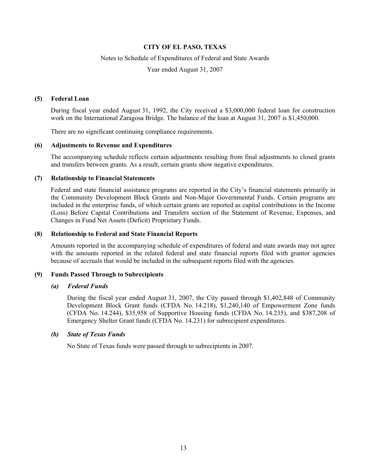#### Notes to Schedule of Expenditures of Federal and State Awards

Year ended August 31, 2007

#### **(5) Federal Loan**

During fiscal year ended August 31, 1992, the City received a \$3,000,000 federal loan for construction work on the International Zaragosa Bridge. The balance of the loan at August 31, 2007 is \$1,450,000.

There are no significant continuing compliance requirements.

#### **(6) Adjustments to Revenue and Expenditures**

The accompanying schedule reflects certain adjustments resulting from final adjustments to closed grants and transfers between grants. As a result, certain grants show negative expenditures.

#### **(7) Relationship to Financial Statements**

Federal and state financial assistance programs are reported in the City's financial statements primarily in the Community Development Block Grants and Non-Major Governmental Funds. Certain programs are included in the enterprise funds, of which certain grants are reported as capital contributions in the Income (Loss) Before Capital Contributions and Transfers section of the Statement of Revenue, Expenses, and Changes in Fund Net Assets (Deficit) Proprietary Funds.

#### **(8) Relationship to Federal and State Financial Reports**

Amounts reported in the accompanying schedule of expenditures of federal and state awards may not agree with the amounts reported in the related federal and state financial reports filed with grantor agencies because of accruals that would be included in the subsequent reports filed with the agencies.

#### **(9) Funds Passed Through to Subrecipients**

#### *(a) Federal Funds*

During the fiscal year ended August 31, 2007, the City passed through \$1,402,848 of Community Development Block Grant funds (CFDA No. 14.218), \$1,240,140 of Empowerment Zone funds (CFDA No. 14.244), \$35,958 of Supportive Housing funds (CFDA No. 14.235), and \$387,208 of Emergency Shelter Grant funds (CFDA No. 14.231) for subrecipient expenditures.

#### *(b) State of Texas Funds*

No State of Texas funds were passed through to subrecipients in 2007.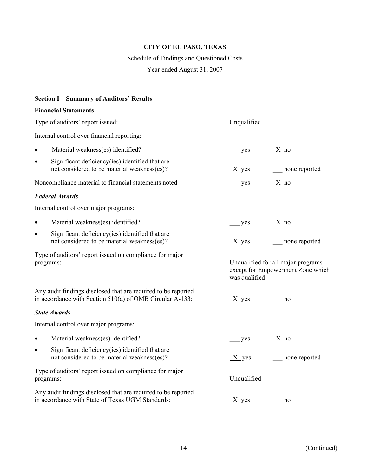Schedule of Findings and Questioned Costs

Year ended August 31, 2007

## **Section I – Summary of Auditors' Results**

## **Financial Statements**

| Type of auditors' report issued:                                     |                                                                                                                           | Unqualified         |                                                                                          |  |
|----------------------------------------------------------------------|---------------------------------------------------------------------------------------------------------------------------|---------------------|------------------------------------------------------------------------------------------|--|
|                                                                      | Internal control over financial reporting:                                                                                |                     |                                                                                          |  |
| $\bullet$                                                            | Material weakness(es) identified?                                                                                         | yes                 | $\underline{X}$ no                                                                       |  |
| $\bullet$                                                            | Significant deficiency (ies) identified that are<br>not considered to be material weakness(es)?                           | $X$ yes             | none reported                                                                            |  |
|                                                                      | Noncompliance material to financial statements noted                                                                      | yes                 | $X$ no                                                                                   |  |
|                                                                      | <b>Federal Awards</b>                                                                                                     |                     |                                                                                          |  |
|                                                                      | Internal control over major programs:                                                                                     |                     |                                                                                          |  |
| $\bullet$                                                            | Material weakness(es) identified?                                                                                         | yes                 | $X$ no                                                                                   |  |
| $\bullet$                                                            | Significant deficiency (ies) identified that are<br>not considered to be material weakness(es)?                           | $\underline{X}$ yes | none reported                                                                            |  |
| Type of auditors' report issued on compliance for major<br>programs: |                                                                                                                           |                     | Unqualified for all major programs<br>except for Empowerment Zone which<br>was qualified |  |
|                                                                      | Any audit findings disclosed that are required to be reported<br>in accordance with Section 510(a) of OMB Circular A-133: | $X$ yes             | no                                                                                       |  |
|                                                                      | <b>State Awards</b>                                                                                                       |                     |                                                                                          |  |
|                                                                      | Internal control over major programs:                                                                                     |                     |                                                                                          |  |
| $\bullet$                                                            | Material weakness(es) identified?                                                                                         | yes                 | $\underline{X}$ no                                                                       |  |
| $\bullet$                                                            | Significant deficiency (ies) identified that are<br>not considered to be material weakness(es)?                           | $X$ yes             | none reported                                                                            |  |
|                                                                      | Type of auditors' report issued on compliance for major<br>programs:                                                      | Unqualified         |                                                                                          |  |
|                                                                      | Any audit findings disclosed that are required to be reported<br>in accordance with State of Texas UGM Standards:         | $\underline{X}$ yes | no                                                                                       |  |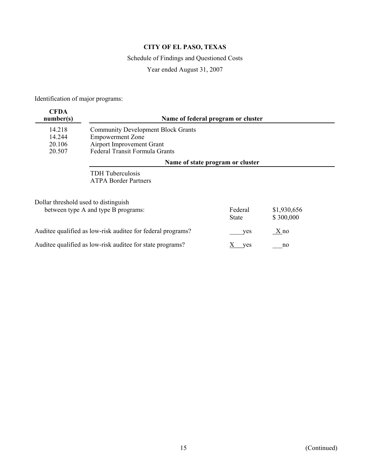Schedule of Findings and Questioned Costs

Year ended August 31, 2007

Identification of major programs:

| <b>CFDA</b><br>number(s)                                                                                                        | Name of federal program or cluster                                                                                 |                         |                           |  |
|---------------------------------------------------------------------------------------------------------------------------------|--------------------------------------------------------------------------------------------------------------------|-------------------------|---------------------------|--|
| 14.218<br><b>Community Development Block Grants</b><br>14.244<br><b>Empowerment Zone</b><br>Airport Improvement Grant<br>20.106 |                                                                                                                    |                         |                           |  |
| 20.507                                                                                                                          | Federal Transit Formula Grants                                                                                     |                         |                           |  |
| Name of state program or cluster                                                                                                |                                                                                                                    |                         |                           |  |
|                                                                                                                                 | <b>TDH</b> Tuberculosis<br><b>ATPA Border Partners</b>                                                             |                         |                           |  |
| Dollar threshold used to distinguish                                                                                            |                                                                                                                    |                         |                           |  |
|                                                                                                                                 | between type A and type B programs:                                                                                | Federal<br><b>State</b> | \$1,930,656<br>\$300,000  |  |
|                                                                                                                                 | $\Lambda = 1$ is a second $\Lambda$ if $\Lambda = 1$ and $\Lambda = 1$ and $\Lambda = 1$ is a set of $\Lambda = 0$ |                         | $\mathbf{v}$ $\mathbf{v}$ |  |

Auditee qualified as low-risk auditee for federal programs?  $y$ es  $\underline{X}$  no Auditee qualified as low-risk auditee for state programs? X yes \_\_\_no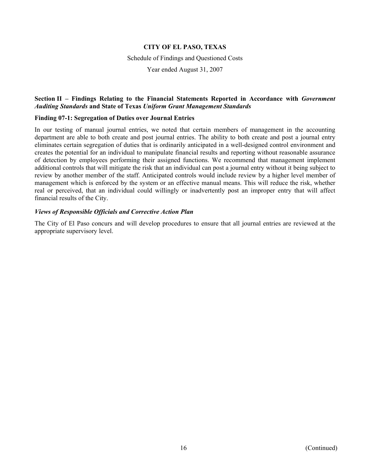Schedule of Findings and Questioned Costs

Year ended August 31, 2007

#### **Section II – Findings Relating to the Financial Statements Reported in Accordance with** *Government Auditing Standards* **and State of Texas** *Uniform Grant Management Standards*

#### **Finding 07-1: Segregation of Duties over Journal Entries**

In our testing of manual journal entries, we noted that certain members of management in the accounting department are able to both create and post journal entries. The ability to both create and post a journal entry eliminates certain segregation of duties that is ordinarily anticipated in a well-designed control environment and creates the potential for an individual to manipulate financial results and reporting without reasonable assurance of detection by employees performing their assigned functions. We recommend that management implement additional controls that will mitigate the risk that an individual can post a journal entry without it being subject to review by another member of the staff. Anticipated controls would include review by a higher level member of management which is enforced by the system or an effective manual means. This will reduce the risk, whether real or perceived, that an individual could willingly or inadvertently post an improper entry that will affect financial results of the City.

#### *Views of Responsible Officials and Corrective Action Plan*

The City of El Paso concurs and will develop procedures to ensure that all journal entries are reviewed at the appropriate supervisory level.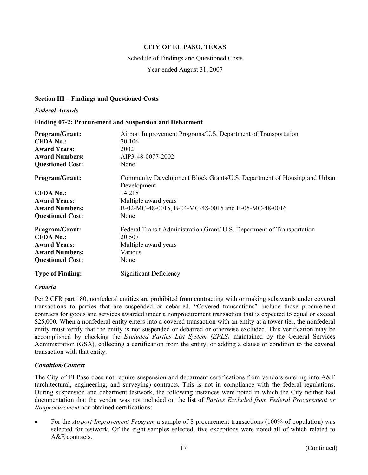## Schedule of Findings and Questioned Costs

Year ended August 31, 2007

#### **Section III – Findings and Questioned Costs**

#### *Federal Awards*

#### **Finding 07-2: Procurement and Suspension and Debarment**

| Program/Grant:          | Airport Improvement Programs/U.S. Department of Transportation                         |
|-------------------------|----------------------------------------------------------------------------------------|
| <b>CFDA No.:</b>        | 20.106                                                                                 |
| <b>Award Years:</b>     | 2002                                                                                   |
| <b>Award Numbers:</b>   | AIP3-48-0077-2002                                                                      |
| <b>Questioned Cost:</b> | None                                                                                   |
| <b>Program/Grant:</b>   | Community Development Block Grants/U.S. Department of Housing and Urban<br>Development |
| <b>CFDA No.:</b>        | 14.218                                                                                 |
| <b>Award Years:</b>     | Multiple award years                                                                   |
| <b>Award Numbers:</b>   | B-02-MC-48-0015, B-04-MC-48-0015 and B-05-MC-48-0016                                   |
| <b>Questioned Cost:</b> | None                                                                                   |
| Program/Grant:          | Federal Transit Administration Grant/ U.S. Department of Transportation                |
| <b>CFDA No.:</b>        | 20.507                                                                                 |
| <b>Award Years:</b>     | Multiple award years                                                                   |
| <b>Award Numbers:</b>   | Various                                                                                |
| <b>Questioned Cost:</b> | None                                                                                   |
| <b>Type of Finding:</b> | Significant Deficiency                                                                 |

#### *Criteria*

Per 2 CFR part 180, nonfederal entities are prohibited from contracting with or making subawards under covered transactions to parties that are suspended or debarred. "Covered transactions" include those procurement contracts for goods and services awarded under a nonprocurement transaction that is expected to equal or exceed \$25,000. When a nonfederal entity enters into a covered transaction with an entity at a tower tier, the nonfederal entity must verify that the entity is not suspended or debarred or otherwise excluded. This verification may be accomplished by checking the *Excluded Parties List System (EPLS)* maintained by the General Services Administration (GSA), collecting a certification from the entity, or adding a clause or condition to the covered transaction with that entity.

#### *Condition/Context*

The City of EI Paso does not require suspension and debarment certifications from vendors entering into A&E (architectural, engineering, and surveying) contracts. This is not in compliance with the federal regulations. During suspension and debarment testwork, the following instances were noted in which the City neither had documentation that the vendor was not included on the list of *Parties Excluded from Federal Procurement or Nonprocurement* nor obtained certifications:

• For the *Airport Improvement Program* a sample of 8 procurement transactions (100% of population) was selected for testwork. Of the eight samples selected, five exceptions were noted all of which related to A&E contracts.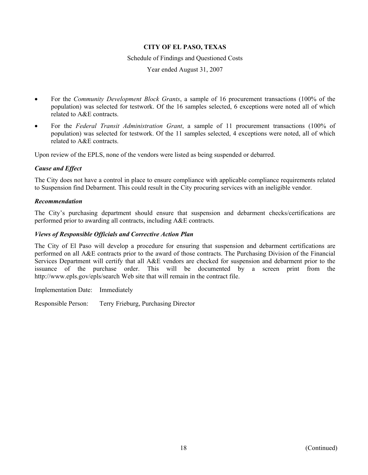#### Schedule of Findings and Questioned Costs

Year ended August 31, 2007

- For the *Community Development Block Grants*, a sample of 16 procurement transactions (100% of the population) was selected for testwork. Of the 16 samples selected, 6 exceptions were noted all of which related to A&E contracts.
- For the *Federal Transit Administration Grant*, a sample of 11 procurement transactions (100% of population) was selected for testwork. Of the 11 samples selected, 4 exceptions were noted, all of which related to A&E contracts.

Upon review of the EPLS, none of the vendors were listed as being suspended or debarred.

#### *Cause and Effect*

The City does not have a control in place to ensure compliance with applicable compliance requirements related to Suspension find Debarment. This could result in the City procuring services with an ineligible vendor.

#### *Recommendation*

The City's purchasing department should ensure that suspension and debarment checks/certifications are performed prior to awarding all contracts, including A&E contracts.

#### *Views of Responsible Officials and Corrective Action Plan*

The City of El Paso will develop a procedure for ensuring that suspension and debarment certifications are performed on all A&E contracts prior to the award of those contracts. The Purchasing Division of the Financial Services Department will certify that all A&E vendors are checked for suspension and debarment prior to the issuance of the purchase order. This will be documented by a screen print from the <http://www.epls.gov/epls/search> Web site that will remain in the contract file.

Implementation Date: Immediately

Responsible Person: Terry Frieburg, Purchasing Director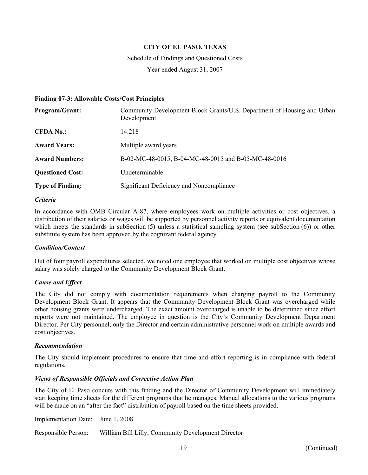# Schedule of Findings and Questioned Costs

Year ended August 31, 2007

#### **Finding 07-3: Allowable Costs/Cost Principles**

| <b>Program/Grant:</b>   | Community Development Block Grants/U.S. Department of Housing and Urban<br>Development |
|-------------------------|----------------------------------------------------------------------------------------|
| <b>CFDA No.:</b>        | 14.218                                                                                 |
| <b>Award Years:</b>     | Multiple award years                                                                   |
| <b>Award Numbers:</b>   | B-02-MC-48-0015, B-04-MC-48-0015 and B-05-MC-48-0016                                   |
| <b>Questioned Cost:</b> | Undeterminable                                                                         |
| <b>Type of Finding:</b> | Significant Deficiency and Noncompliance                                               |

#### *Criteria*

In accordance with OMB Circular A-87, where employees work on multiple activities or cost objectives, a distribution of their salaries or wages will be supported by personnel activity reports or equivalent documentation which meets the standards in subSection (5) unless a statistical sampling system (see subSection (6)) or other substitute system has been approved by the cognizant federal agency.

#### *Condition/Context*

Out of four payroll expenditures selected, we noted one employee that worked on multiple cost objectives whose salary was solely charged to the Community Development Block Grant.

#### *Cause and Effect*

The City did not comply with documentation requirements when charging payroll to the Community Development Block Grant. It appears that the Community Development Block Grant was overcharged while other housing grants were undercharged. The exact amount overcharged is unable to be determined since effort reports were not maintained. The employee in question is the City's Community Development Department Director. Per City personnel, only the Director and certain administrative personnel work on multiple awards and cost objectives.

#### *Recommendation*

The City should implement procedures to ensure that time and effort reporting is in compliance with federal regulations.

#### *Views of Responsible Officials and Corrective Action Plan*

The City of El Paso concurs with this finding and the Director of Community Development will immediately start keeping time sheets for the different programs that he manages. Manual allocations to the various programs will be made on an "after the fact" distribution of payroll based on the time sheets provided.

Implementation Date: June 1, 2008

Responsible Person: William Bill Lilly, Community Development Director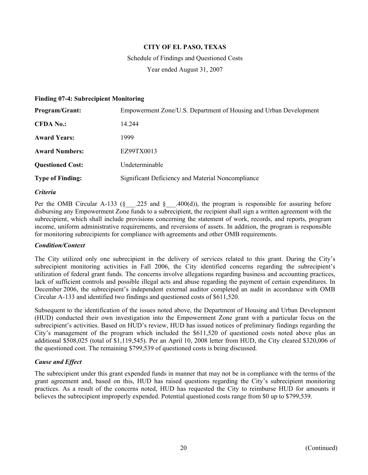Schedule of Findings and Questioned Costs Year ended August 31, 2007

#### **Finding 07-4: Subrecipient Monitoring**

| <b>Program/Grant:</b>   | Empowerment Zone/U.S. Department of Housing and Urban Development |
|-------------------------|-------------------------------------------------------------------|
| <b>CFDA No.:</b>        | 14 244                                                            |
| <b>Award Years:</b>     | 1999                                                              |
| <b>Award Numbers:</b>   | EZ99TX0013                                                        |
| <b>Questioned Cost:</b> | Undeterminable                                                    |
| <b>Type of Finding:</b> | Significant Deficiency and Material Noncompliance                 |

#### *Criteria*

Per the OMB Circular A-133 (§  $.225$  and §  $.400(d)$ ), the program is responsible for assuring before disbursing any Empowerment Zone funds to a subrecipient, the recipient shall sign a written agreement with the subrecipient, which shall include provisions concerning the statement of work, records, and reports, program income, uniform administrative requirements, and reversions of assets. In addition, the program is responsible for monitoring subrecipients for compliance with agreements and other OMB requirements.

#### *Condition/Context*

The City utilized only one subrecipient in the delivery of services related to this grant. During the City's subrecipient monitoring activities in Fall 2006, the City identified concerns regarding the subrecipient's utilization of federal grant funds. The concerns involve allegations regarding business and accounting practices, lack of sufficient controls and possible illegal acts and abuse regarding the payment of certain expenditures. In December 2006, the subrecipient's independent external auditor completed an audit in accordance with OMB Circular A-133 and identified two findings and questioned costs of \$611,520.

Subsequent to the identification of the issues noted above, the Department of Housing and Urban Development (HUD) conducted their own investigation into the Empowerment Zone grant with a particular focus on the subrecipient's activities. Based on HUD's review, HUD has issued notices of preliminary findings regarding the City's management of the program which included the \$611,520 of questioned costs noted above plus an additional \$508,025 (total of \$1,119,545). Per an April 10, 2008 letter from HUD, the City cleared \$320,006 of the questioned cost. The remaining \$799,539 of questioned costs is being discussed.

#### *Cause and Effect*

The subrecipient under this grant expended funds in manner that may not be in compliance with the terms of the grant agreement and, based on this, HUD has raised questions regarding the City's subrecipient monitoring practices. As a result of the concerns noted, HUD has requested the City to reimburse HUD for amounts it believes the subrecipient improperly expended. Potential questioned costs range from \$0 up to \$799,539.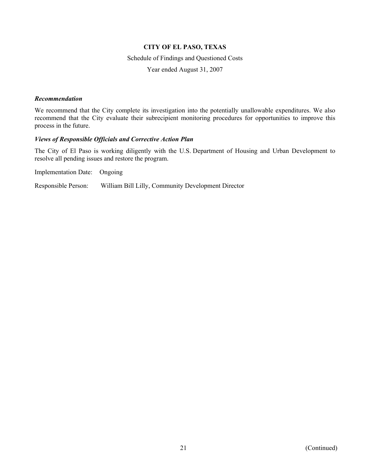Schedule of Findings and Questioned Costs

Year ended August 31, 2007

#### *Recommendation*

We recommend that the City complete its investigation into the potentially unallowable expenditures. We also recommend that the City evaluate their subrecipient monitoring procedures for opportunities to improve this process in the future.

#### *Views of Responsible Officials and Corrective Action Plan*

The City of El Paso is working diligently with the U.S. Department of Housing and Urban Development to resolve all pending issues and restore the program.

Implementation Date: Ongoing

Responsible Person: William Bill Lilly, Community Development Director